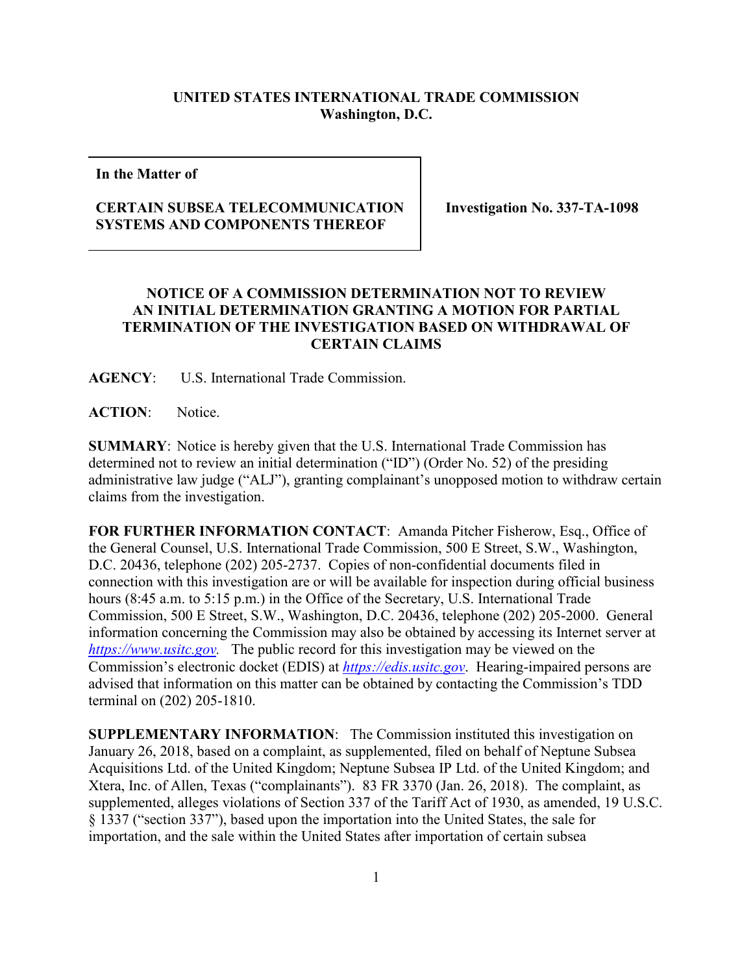## **UNITED STATES INTERNATIONAL TRADE COMMISSION Washington, D.C.**

**In the Matter of**

## **CERTAIN SUBSEA TELECOMMUNICATION SYSTEMS AND COMPONENTS THEREOF**

**Investigation No. 337-TA-1098**

## **NOTICE OF A COMMISSION DETERMINATION NOT TO REVIEW AN INITIAL DETERMINATION GRANTING A MOTION FOR PARTIAL TERMINATION OF THE INVESTIGATION BASED ON WITHDRAWAL OF CERTAIN CLAIMS**

**AGENCY**: U.S. International Trade Commission.

**ACTION**: Notice.

**SUMMARY**: Notice is hereby given that the U.S. International Trade Commission has determined not to review an initial determination ("ID") (Order No. 52) of the presiding administrative law judge ("ALJ"), granting complainant's unopposed motion to withdraw certain claims from the investigation.

**FOR FURTHER INFORMATION CONTACT**: Amanda Pitcher Fisherow, Esq., Office of the General Counsel, U.S. International Trade Commission, 500 E Street, S.W., Washington, D.C. 20436, telephone (202) 205-2737. Copies of non-confidential documents filed in connection with this investigation are or will be available for inspection during official business hours (8:45 a.m. to 5:15 p.m.) in the Office of the Secretary, U.S. International Trade Commission, 500 E Street, S.W., Washington, D.C. 20436, telephone (202) 205-2000. General information concerning the Commission may also be obtained by accessing its Internet server at *[https://www.usitc.gov.](https://www.usitc.gov/)* The public record for this investigation may be viewed on the Commission's electronic docket (EDIS) at *[https://edis.usitc.gov](https://edis.usitc.gov/)*. Hearing-impaired persons are advised that information on this matter can be obtained by contacting the Commission's TDD terminal on (202) 205-1810.

**SUPPLEMENTARY INFORMATION**: The Commission instituted this investigation on January 26, 2018, based on a complaint, as supplemented, filed on behalf of Neptune Subsea Acquisitions Ltd. of the United Kingdom; Neptune Subsea IP Ltd. of the United Kingdom; and Xtera, Inc. of Allen, Texas ("complainants"). 83 FR 3370 (Jan. 26, 2018). The complaint, as supplemented, alleges violations of Section 337 of the Tariff Act of 1930, as amended, 19 U.S.C. § 1337 ("section 337"), based upon the importation into the United States, the sale for importation, and the sale within the United States after importation of certain subsea